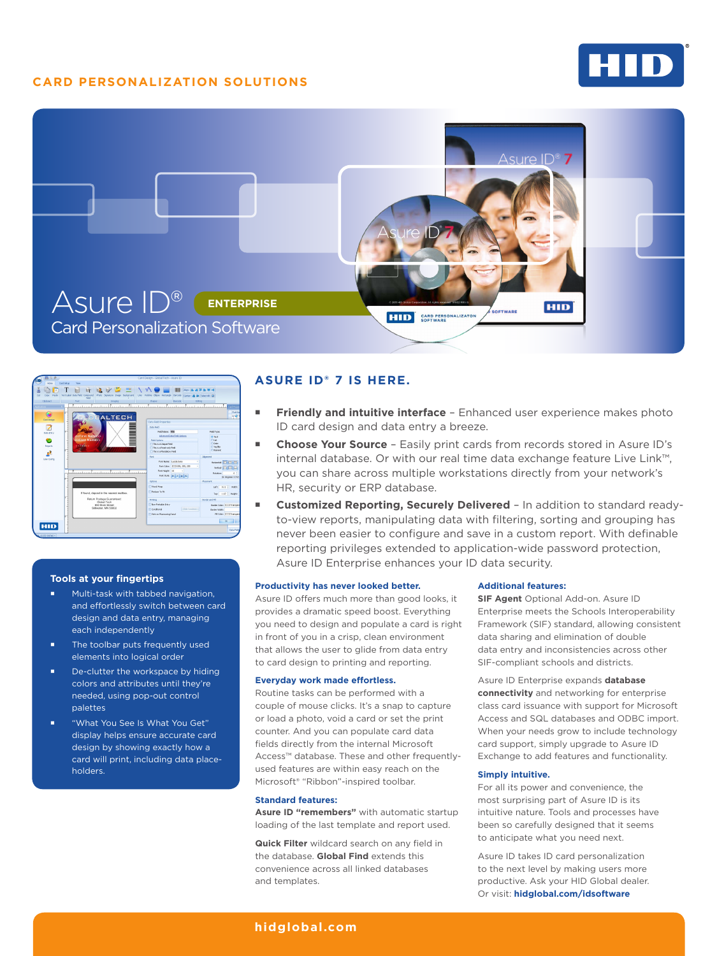# **CARD PERSONALIZATION SOLUTIONS**







#### **Tools at your fingertips**

- **Multi-task with tabbed navigation,** and effortlessly switch between card design and data entry, managing each independently
- **The toolbar puts frequently used** elements into logical order
- De-clutter the workspace by hiding colors and attributes until they're needed, using pop-out control palettes
- "What You See Is What You Get" display helps ensure accurate card design by showing exactly how a card will print, including data placeholders.

## **ASURE ID® 7 IS HERE.**

- **Friendly and intuitive interface** Enhanced user experience makes photo ID card design and data entry a breeze.
- **Choose Your Source**  Easily print cards from records stored in Asure ID's internal database. Or with our real time data exchange feature Live Link™, you can share across multiple workstations directly from your network's HR, security or ERP database.
- **Customized Reporting, Securely Delivered**  In addition to standard readyto-view reports, manipulating data with filtering, sorting and grouping has never been easier to configure and save in a custom report. With definable reporting privileges extended to application-wide password protection, Asure ID Enterprise enhances your ID data security.

#### **Productivity has never looked better.**

Asure ID offers much more than good looks, it provides a dramatic speed boost. Everything you need to design and populate a card is right in front of you in a crisp, clean environment that allows the user to glide from data entry to card design to printing and reporting.

#### **Everyday work made effortless.**

Routine tasks can be performed with a couple of mouse clicks. It's a snap to capture or load a photo, void a card or set the print counter. And you can populate card data fields directly from the internal Microsoft Access™ database. These and other frequentlyused features are within easy reach on the Microsoft® "Ribbon"-inspired toolbar.

#### **Standard features:**

**Asure ID "remembers"** with automatic startup loading of the last template and report used.

**Quick Filter** wildcard search on any field in the database. **Global Find** extends this convenience across all linked databases and templates.

#### **Additional features:**

**SIF Agent** Optional Add-on. Asure ID Enterprise meets the Schools Interoperability Framework (SIF) standard, allowing consistent data sharing and elimination of double data entry and inconsistencies across other SIF-compliant schools and districts.

Asure ID Enterprise expands **database connectivity** and networking for enterprise class card issuance with support for Microsoft Access and SQL databases and ODBC import. When your needs grow to include technology card support, simply upgrade to Asure ID Exchange to add features and functionality.

### **Simply intuitive.**

For all its power and convenience, the most surprising part of Asure ID is its intuitive nature. Tools and processes have been so carefully designed that it seems to anticipate what you need next.

Asure ID takes ID card personalization to the next level by making users more productive. Ask your HID Global dealer. Or visit: **[hidglobal.com/idsoftware](http://www.hidglobal.com/idsoftware)**

### **[hidglobal.com](http://www.hidglobal.com)**